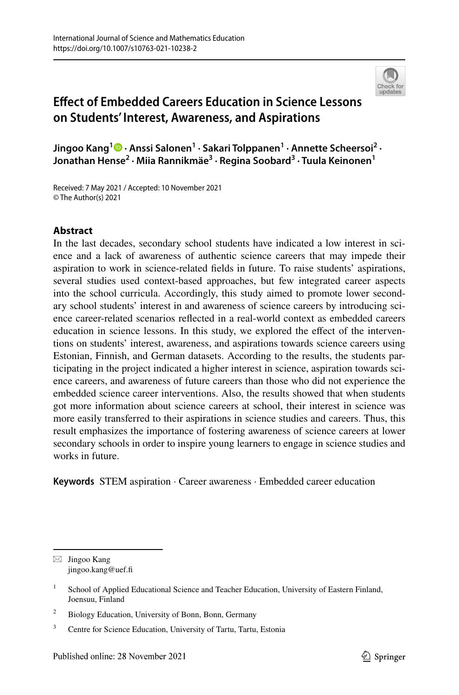

# **Efect of Embedded Careers Education in Science Lessons on Students' Interest, Awareness, and Aspirations**

**Jingoo Kang<sup>1</sup> · Anssi Salonen1 · Sakari Tolppanen1 · Annette Scheersoi2 · Jonathan Hense2 · Miia Rannikmäe3 · Regina Soobard3 · Tuula Keinonen1**

Received: 7 May 2021 / Accepted: 10 November 2021 © The Author(s) 2021

# **Abstract**

In the last decades, secondary school students have indicated a low interest in science and a lack of awareness of authentic science careers that may impede their aspiration to work in science-related felds in future. To raise students' aspirations, several studies used context-based approaches, but few integrated career aspects into the school curricula. Accordingly, this study aimed to promote lower secondary school students' interest in and awareness of science careers by introducing science career-related scenarios refected in a real-world context as embedded careers education in science lessons. In this study, we explored the efect of the interventions on students' interest, awareness, and aspirations towards science careers using Estonian, Finnish, and German datasets. According to the results, the students participating in the project indicated a higher interest in science, aspiration towards science careers, and awareness of future careers than those who did not experience the embedded science career interventions. Also, the results showed that when students got more information about science careers at school, their interest in science was more easily transferred to their aspirations in science studies and careers. Thus, this result emphasizes the importance of fostering awareness of science careers at lower secondary schools in order to inspire young learners to engage in science studies and works in future.

**Keywords** STEM aspiration · Career awareness · Embedded career education

 $\boxtimes$  Jingoo Kang jingoo.kang@uef.fi

<sup>&</sup>lt;sup>1</sup> School of Applied Educational Science and Teacher Education, University of Eastern Finland, Joensuu, Finland

<sup>&</sup>lt;sup>2</sup> Biology Education, University of Bonn, Bonn, Germany

<sup>&</sup>lt;sup>3</sup> Centre for Science Education, University of Tartu, Tartu, Estonia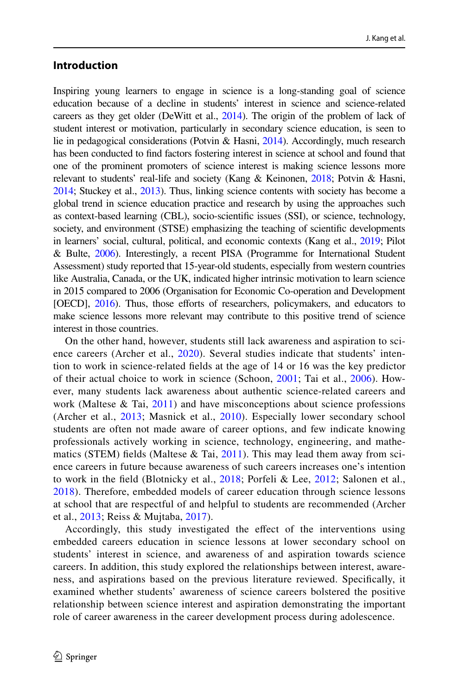### **Introduction**

Inspiring young learners to engage in science is a long-standing goal of science education because of a decline in students' interest in science and science-related careers as they get older (DeWitt et al., [2014\)](#page-18-0). The origin of the problem of lack of student interest or motivation, particularly in secondary science education, is seen to lie in pedagogical considerations (Potvin & Hasni, [2014\)](#page-20-0). Accordingly, much research has been conducted to fnd factors fostering interest in science at school and found that one of the prominent promoters of science interest is making science lessons more relevant to students' real-life and society (Kang & Keinonen, [2018](#page-19-0); Potvin & Hasni, [2014](#page-20-0); Stuckey et al., [2013\)](#page-20-1). Thus, linking science contents with society has become a global trend in science education practice and research by using the approaches such as context-based learning (CBL), socio-scientifc issues (SSI), or science, technology, society, and environment (STSE) emphasizing the teaching of scientifc developments in learners' social, cultural, political, and economic contexts (Kang et al., [2019](#page-19-1); Pilot & Bulte, [2006](#page-20-2)). Interestingly, a recent PISA (Programme for International Student Assessment) study reported that 15-year-old students, especially from western countries like Australia, Canada, or the UK, indicated higher intrinsic motivation to learn science in 2015 compared to 2006 (Organisation for Economic Co-operation and Development [OECD], [2016](#page-19-2)). Thus, those efforts of researchers, policymakers, and educators to make science lessons more relevant may contribute to this positive trend of science interest in those countries.

On the other hand, however, students still lack awareness and aspiration to science careers (Archer et al., [2020\)](#page-18-1). Several studies indicate that students' intention to work in science-related felds at the age of 14 or 16 was the key predictor of their actual choice to work in science (Schoon, [2001](#page-20-3); Tai et al., [2006](#page-20-4)). However, many students lack awareness about authentic science-related careers and work (Maltese  $\&$  Tai, [2011](#page-19-3)) and have misconceptions about science professions (Archer et al., [2013;](#page-18-2) Masnick et al., [2010](#page-19-4)). Especially lower secondary school students are often not made aware of career options, and few indicate knowing professionals actively working in science, technology, engineering, and mathematics (STEM) fields (Maltese  $\&$  Tai, [2011\)](#page-19-3). This may lead them away from science careers in future because awareness of such careers increases one's intention to work in the feld (Blotnicky et al., [2018;](#page-18-3) Porfeli & Lee, [2012;](#page-20-5) Salonen et al., [2018\)](#page-20-6). Therefore, embedded models of career education through science lessons at school that are respectful of and helpful to students are recommended (Archer et al., [2013](#page-18-2); Reiss & Mujtaba, [2017](#page-20-7)).

Accordingly, this study investigated the effect of the interventions using embedded careers education in science lessons at lower secondary school on students' interest in science, and awareness of and aspiration towards science careers. In addition, this study explored the relationships between interest, awareness, and aspirations based on the previous literature reviewed. Specifcally, it examined whether students' awareness of science careers bolstered the positive relationship between science interest and aspiration demonstrating the important role of career awareness in the career development process during adolescence.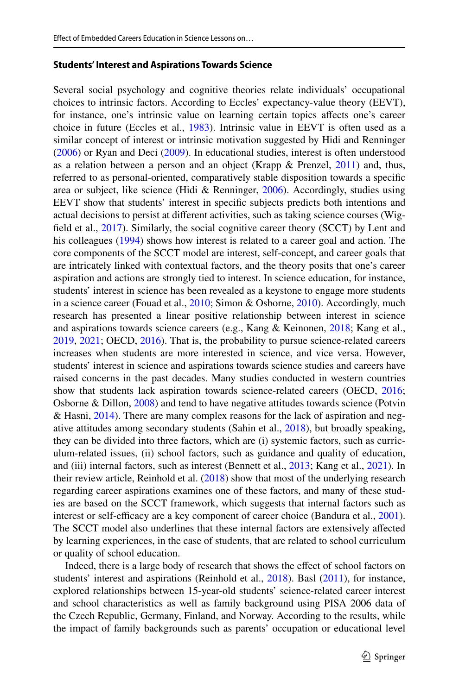#### **Students' Interest and Aspirations Towards Science**

Several social psychology and cognitive theories relate individuals' occupational choices to intrinsic factors. According to Eccles' expectancy-value theory (EEVT), for instance, one's intrinsic value on learning certain topics afects one's career choice in future (Eccles et al., [1983\)](#page-19-5). Intrinsic value in EEVT is often used as a similar concept of interest or intrinsic motivation suggested by Hidi and Renninger [\(2006](#page-19-6)) or Ryan and Deci [\(2009](#page-20-8)). In educational studies, interest is often understood as a relation between a person and an object (Krapp & Prenzel, [2011](#page-19-7)) and, thus, referred to as personal-oriented, comparatively stable disposition towards a specifc area or subject, like science (Hidi & Renninger, [2006](#page-19-6)). Accordingly, studies using EEVT show that students' interest in specifc subjects predicts both intentions and actual decisions to persist at diferent activities, such as taking science courses (Wigfeld et al., [2017](#page-20-9)). Similarly, the social cognitive career theory (SCCT) by Lent and his colleagues [\(1994](#page-19-8)) shows how interest is related to a career goal and action. The core components of the SCCT model are interest, self-concept, and career goals that are intricately linked with contextual factors, and the theory posits that one's career aspiration and actions are strongly tied to interest. In science education, for instance, students' interest in science has been revealed as a keystone to engage more students in a science career (Fouad et al., [2010](#page-20-10); Simon & Osborne, 2010). Accordingly, much research has presented a linear positive relationship between interest in science and aspirations towards science careers (e.g., Kang & Keinonen, [2018;](#page-19-0) Kang et al., [2019](#page-19-1), [2021](#page-19-10); OECD, [2016](#page-19-2)). That is, the probability to pursue science-related careers increases when students are more interested in science, and vice versa. However, students' interest in science and aspirations towards science studies and careers have raised concerns in the past decades. Many studies conducted in western countries show that students lack aspiration towards science-related careers (OECD, [2016;](#page-19-2) Osborne & Dillon, [2008](#page-19-11)) and tend to have negative attitudes towards science (Potvin & Hasni, [2014\)](#page-20-0). There are many complex reasons for the lack of aspiration and negative attitudes among secondary students (Sahin et al., [2018\)](#page-20-11), but broadly speaking, they can be divided into three factors, which are (i) systemic factors, such as curriculum-related issues, (ii) school factors, such as guidance and quality of education, and (iii) internal factors, such as interest (Bennett et al., [2013;](#page-18-4) Kang et al., [2021\)](#page-19-10). In their review article, Reinhold et al.  $(2018)$  $(2018)$  show that most of the underlying research regarding career aspirations examines one of these factors, and many of these studies are based on the SCCT framework, which suggests that internal factors such as interest or self-efficacy are a key component of career choice (Bandura et al., [2001\)](#page-18-5). The SCCT model also underlines that these internal factors are extensively afected by learning experiences, in the case of students, that are related to school curriculum or quality of school education.

Indeed, there is a large body of research that shows the efect of school factors on students' interest and aspirations (Reinhold et al., [2018\)](#page-20-12). Basl [\(2011](#page-18-6)), for instance, explored relationships between 15-year-old students' science-related career interest and school characteristics as well as family background using PISA 2006 data of the Czech Republic, Germany, Finland, and Norway. According to the results, while the impact of family backgrounds such as parents' occupation or educational level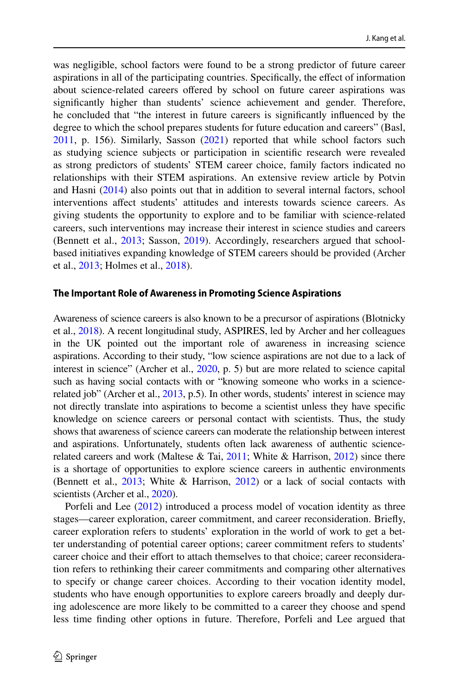was negligible, school factors were found to be a strong predictor of future career aspirations in all of the participating countries. Specifcally, the efect of information about science-related careers offered by school on future career aspirations was signifcantly higher than students' science achievement and gender. Therefore, he concluded that "the interest in future careers is signifcantly infuenced by the degree to which the school prepares students for future education and careers" (Basl, [2011](#page-18-6), p. 156). Similarly, Sasson [\(2021](#page-20-13)) reported that while school factors such as studying science subjects or participation in scientifc research were revealed as strong predictors of students' STEM career choice, family factors indicated no relationships with their STEM aspirations. An extensive review article by Potvin and Hasni ([2014\)](#page-20-0) also points out that in addition to several internal factors, school interventions afect students' attitudes and interests towards science careers. As giving students the opportunity to explore and to be familiar with science-related careers, such interventions may increase their interest in science studies and careers (Bennett et al., [2013;](#page-18-4) Sasson, [2019](#page-20-14)). Accordingly, researchers argued that schoolbased initiatives expanding knowledge of STEM careers should be provided (Archer et al., [2013](#page-18-2); Holmes et al., [2018\)](#page-19-12).

#### **The Important Role of Awareness in Promoting Science Aspirations**

Awareness of science careers is also known to be a precursor of aspirations (Blotnicky et al., [2018\)](#page-18-3). A recent longitudinal study, ASPIRES, led by Archer and her colleagues in the UK pointed out the important role of awareness in increasing science aspirations. According to their study, "low science aspirations are not due to a lack of interest in science" (Archer et al., [2020](#page-18-1), p. 5) but are more related to science capital such as having social contacts with or "knowing someone who works in a science-related job" (Archer et al., [2013](#page-18-2), p.5). In other words, students' interest in science may not directly translate into aspirations to become a scientist unless they have specifc knowledge on science careers or personal contact with scientists. Thus, the study shows that awareness of science careers can moderate the relationship between interest and aspirations. Unfortunately, students often lack awareness of authentic sciencerelated careers and work (Maltese & Tai,  $2011$ ; White & Harrison,  $2012$ ) since there is a shortage of opportunities to explore science careers in authentic environments (Bennett et al.,  $2013$ ; White & Harrison,  $2012$ ) or a lack of social contacts with scientists (Archer et al., [2020\)](#page-18-1).

Porfeli and Lee ([2012\)](#page-20-5) introduced a process model of vocation identity as three stages—career exploration, career commitment, and career reconsideration. Briefy, career exploration refers to students' exploration in the world of work to get a better understanding of potential career options; career commitment refers to students' career choice and their efort to attach themselves to that choice; career reconsideration refers to rethinking their career commitments and comparing other alternatives to specify or change career choices. According to their vocation identity model, students who have enough opportunities to explore careers broadly and deeply during adolescence are more likely to be committed to a career they choose and spend less time fnding other options in future. Therefore, Porfeli and Lee argued that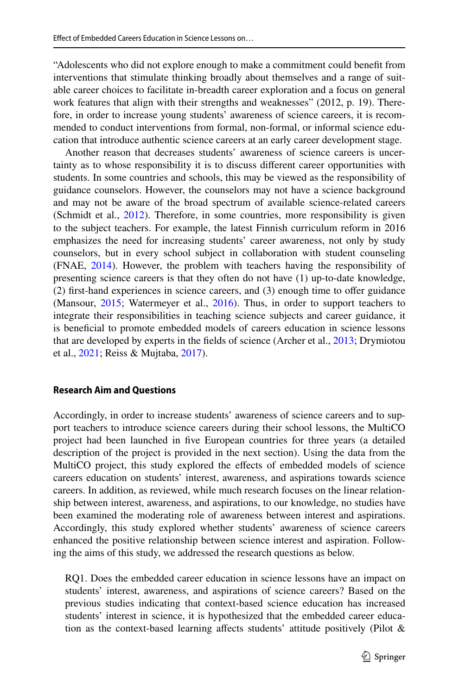"Adolescents who did not explore enough to make a commitment could beneft from interventions that stimulate thinking broadly about themselves and a range of suitable career choices to facilitate in-breadth career exploration and a focus on general work features that align with their strengths and weaknesses" (2012, p. 19). Therefore, in order to increase young students' awareness of science careers, it is recommended to conduct interventions from formal, non-formal, or informal science education that introduce authentic science careers at an early career development stage.

Another reason that decreases students' awareness of science careers is uncertainty as to whose responsibility it is to discuss diferent career opportunities with students. In some countries and schools, this may be viewed as the responsibility of guidance counselors. However, the counselors may not have a science background and may not be aware of the broad spectrum of available science-related careers (Schmidt et al., [2012](#page-20-16)). Therefore, in some countries, more responsibility is given to the subject teachers. For example, the latest Finnish curriculum reform in 2016 emphasizes the need for increasing students' career awareness, not only by study counselors, but in every school subject in collaboration with student counseling (FNAE, [2014](#page-19-13)). However, the problem with teachers having the responsibility of presenting science careers is that they often do not have (1) up-to-date knowledge, (2) frst-hand experiences in science careers, and (3) enough time to ofer guidance (Mansour, [2015](#page-19-14); Watermeyer et al., [2016\)](#page-20-17). Thus, in order to support teachers to integrate their responsibilities in teaching science subjects and career guidance, it is benefcial to promote embedded models of careers education in science lessons that are developed by experts in the felds of science (Archer et al., [2013](#page-18-2); Drymiotou et al., [2021](#page-19-15); Reiss & Mujtaba, [2017](#page-20-7)).

#### **Research Aim and Questions**

Accordingly, in order to increase students' awareness of science careers and to support teachers to introduce science careers during their school lessons, the MultiCO project had been launched in fve European countries for three years (a detailed description of the project is provided in the next section). Using the data from the MultiCO project, this study explored the effects of embedded models of science careers education on students' interest, awareness, and aspirations towards science careers. In addition, as reviewed, while much research focuses on the linear relationship between interest, awareness, and aspirations, to our knowledge, no studies have been examined the moderating role of awareness between interest and aspirations. Accordingly, this study explored whether students' awareness of science careers enhanced the positive relationship between science interest and aspiration. Following the aims of this study, we addressed the research questions as below.

RQ1. Does the embedded career education in science lessons have an impact on students' interest, awareness, and aspirations of science careers? Based on the previous studies indicating that context-based science education has increased students' interest in science, it is hypothesized that the embedded career education as the context-based learning affects students' attitude positively (Pilot  $\&$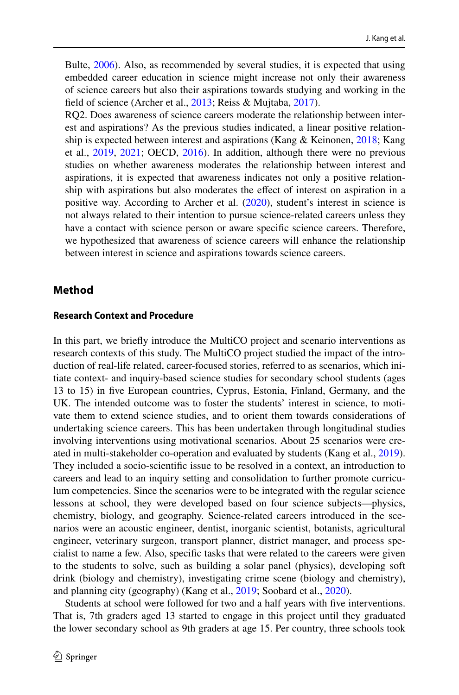Bulte, [2006\)](#page-20-2). Also, as recommended by several studies, it is expected that using embedded career education in science might increase not only their awareness of science careers but also their aspirations towards studying and working in the feld of science (Archer et al., [2013](#page-18-2); Reiss & Mujtaba, [2017](#page-20-7)).

RQ2. Does awareness of science careers moderate the relationship between interest and aspirations? As the previous studies indicated, a linear positive relationship is expected between interest and aspirations (Kang & Keinonen, [2018](#page-19-0); Kang et al., [2019,](#page-19-1) [2021](#page-19-10); OECD, [2016\)](#page-19-2). In addition, although there were no previous studies on whether awareness moderates the relationship between interest and aspirations, it is expected that awareness indicates not only a positive relationship with aspirations but also moderates the efect of interest on aspiration in a positive way. According to Archer et al. [\(2020](#page-18-1)), student's interest in science is not always related to their intention to pursue science-related careers unless they have a contact with science person or aware specific science careers. Therefore, we hypothesized that awareness of science careers will enhance the relationship between interest in science and aspirations towards science careers.

# **Method**

#### **Research Context and Procedure**

In this part, we briefy introduce the MultiCO project and scenario interventions as research contexts of this study. The MultiCO project studied the impact of the introduction of real-life related, career-focused stories, referred to as scenarios, which initiate context- and inquiry-based science studies for secondary school students (ages 13 to 15) in fve European countries, Cyprus, Estonia, Finland, Germany, and the UK. The intended outcome was to foster the students' interest in science, to motivate them to extend science studies, and to orient them towards considerations of undertaking science careers. This has been undertaken through longitudinal studies involving interventions using motivational scenarios. About 25 scenarios were created in multi-stakeholder co-operation and evaluated by students (Kang et al., [2019\)](#page-19-1). They included a socio-scientifc issue to be resolved in a context, an introduction to careers and lead to an inquiry setting and consolidation to further promote curriculum competencies. Since the scenarios were to be integrated with the regular science lessons at school, they were developed based on four science subjects—physics, chemistry, biology, and geography. Science-related careers introduced in the scenarios were an acoustic engineer, dentist, inorganic scientist, botanists, agricultural engineer, veterinary surgeon, transport planner, district manager, and process specialist to name a few. Also, specifc tasks that were related to the careers were given to the students to solve, such as building a solar panel (physics), developing soft drink (biology and chemistry), investigating crime scene (biology and chemistry), and planning city (geography) (Kang et al., [2019;](#page-19-1) Soobard et al., [2020](#page-20-18)).

Students at school were followed for two and a half years with fve interventions. That is, 7th graders aged 13 started to engage in this project until they graduated the lower secondary school as 9th graders at age 15. Per country, three schools took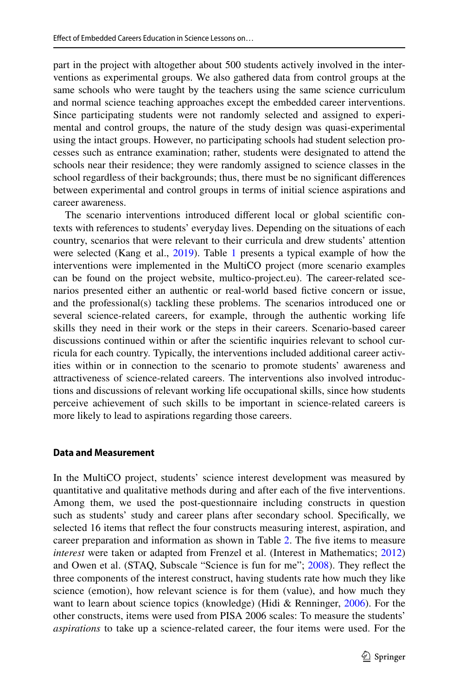part in the project with altogether about 500 students actively involved in the interventions as experimental groups. We also gathered data from control groups at the same schools who were taught by the teachers using the same science curriculum and normal science teaching approaches except the embedded career interventions. Since participating students were not randomly selected and assigned to experimental and control groups, the nature of the study design was quasi-experimental using the intact groups. However, no participating schools had student selection processes such as entrance examination; rather, students were designated to attend the schools near their residence; they were randomly assigned to science classes in the school regardless of their backgrounds; thus, there must be no signifcant diferences between experimental and control groups in terms of initial science aspirations and career awareness.

The scenario interventions introduced diferent local or global scientifc contexts with references to students' everyday lives. Depending on the situations of each country, scenarios that were relevant to their curricula and drew students' attention were selected (Kang et al., [2019\)](#page-19-1). Table [1](#page-7-0) presents a typical example of how the interventions were implemented in the MultiCO project (more scenario examples can be found on the project website, multico-project.eu). The career-related scenarios presented either an authentic or real-world based fctive concern or issue, and the professional(s) tackling these problems. The scenarios introduced one or several science-related careers, for example, through the authentic working life skills they need in their work or the steps in their careers. Scenario-based career discussions continued within or after the scientifc inquiries relevant to school curricula for each country. Typically, the interventions included additional career activities within or in connection to the scenario to promote students' awareness and attractiveness of science-related careers. The interventions also involved introductions and discussions of relevant working life occupational skills, since how students perceive achievement of such skills to be important in science-related careers is more likely to lead to aspirations regarding those careers.

#### **Data and Measurement**

In the MultiCO project, students' science interest development was measured by quantitative and qualitative methods during and after each of the fve interventions. Among them, we used the post-questionnaire including constructs in question such as students' study and career plans after secondary school. Specifcally, we selected 16 items that refect the four constructs measuring interest, aspiration, and career preparation and information as shown in Table [2](#page-8-0). The five items to measure *interest* were taken or adapted from Frenzel et al. (Interest in Mathematics; [2012](#page-19-16)) and Owen et al. (STAQ, Subscale "Science is fun for me"; [2008](#page-19-17)). They refect the three components of the interest construct, having students rate how much they like science (emotion), how relevant science is for them (value), and how much they want to learn about science topics (knowledge) (Hidi & Renninger, [2006\)](#page-19-6). For the other constructs, items were used from PISA 2006 scales: To measure the students' *aspirations* to take up a science-related career, the four items were used. For the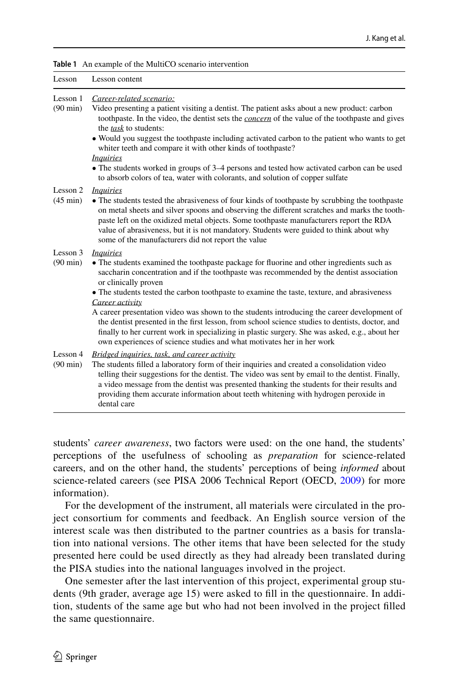<span id="page-7-0"></span>

|  | Table 1 An example of the MultiCO scenario intervention |
|--|---------------------------------------------------------|
|--|---------------------------------------------------------|

| Lesson                         | Lesson content                                                                                                                                                                                                                                                                                                                                                                                                                                                                                                                                                                                                                                                                                                                   |
|--------------------------------|----------------------------------------------------------------------------------------------------------------------------------------------------------------------------------------------------------------------------------------------------------------------------------------------------------------------------------------------------------------------------------------------------------------------------------------------------------------------------------------------------------------------------------------------------------------------------------------------------------------------------------------------------------------------------------------------------------------------------------|
| Lesson 1<br>$(90 \text{ min})$ | Career-related scenario:<br>Video presenting a patient visiting a dentist. The patient asks about a new product: carbon<br>toothpaste. In the video, the dentist sets the <i>concern</i> of the value of the toothpaste and gives<br>the task to students:<br>• Would you suggest the toothpaste including activated carbon to the patient who wants to get<br>whiter teeth and compare it with other kinds of toothpaste?<br><i>Inquiries</i><br>• The students worked in groups of 3–4 persons and tested how activated carbon can be used<br>to absorb colors of tea, water with colorants, and solution of copper sulfate                                                                                                    |
| Lesson 2<br>$(45 \text{ min})$ | <i>Inquiries</i><br>• The students tested the abrasiveness of four kinds of toothpaste by scrubbing the toothpaste<br>on metal sheets and silver spoons and observing the different scratches and marks the tooth-<br>paste left on the oxidized metal objects. Some toothpaste manufacturers report the RDA<br>value of abrasiveness, but it is not mandatory. Students were guided to think about why<br>some of the manufacturers did not report the value                                                                                                                                                                                                                                                                    |
| Lesson 3<br>$(90 \text{ min})$ | <i>Inquiries</i><br>• The students examined the toothpaste package for fluorine and other ingredients such as<br>saccharin concentration and if the toothpaste was recommended by the dentist association<br>or clinically proven<br>• The students tested the carbon toothpaste to examine the taste, texture, and abrasiveness<br>Career activity<br>A career presentation video was shown to the students introducing the career development of<br>the dentist presented in the first lesson, from school science studies to dentists, doctor, and<br>finally to her current work in specializing in plastic surgery. She was asked, e.g., about her<br>own experiences of science studies and what motivates her in her work |
| Lesson 4<br>$(90 \text{ min})$ | <b>Bridged inquiries, task, and career activity</b><br>The students filled a laboratory form of their inquiries and created a consolidation video<br>telling their suggestions for the dentist. The video was sent by email to the dentist. Finally,<br>a video message from the dentist was presented thanking the students for their results and<br>providing them accurate information about teeth whitening with hydrogen peroxide in<br>dental care                                                                                                                                                                                                                                                                         |

students' *career awareness*, two factors were used: on the one hand, the students' perceptions of the usefulness of schooling as *preparation* for science-related careers, and on the other hand, the students' perceptions of being *informed* about science-related careers (see PISA 2006 Technical Report (OECD, [2009\)](#page-19-18) for more information).

For the development of the instrument, all materials were circulated in the project consortium for comments and feedback. An English source version of the interest scale was then distributed to the partner countries as a basis for translation into national versions. The other items that have been selected for the study presented here could be used directly as they had already been translated during the PISA studies into the national languages involved in the project.

One semester after the last intervention of this project, experimental group students (9th grader, average age 15) were asked to fll in the questionnaire. In addition, students of the same age but who had not been involved in the project flled the same questionnaire.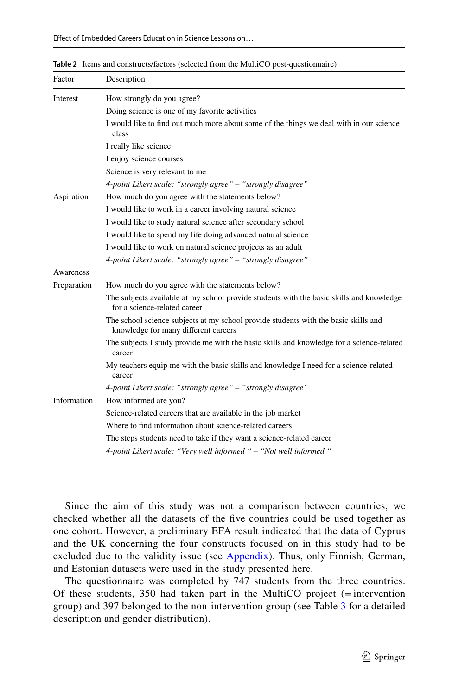| Factor      | Description                                                                                                                 |
|-------------|-----------------------------------------------------------------------------------------------------------------------------|
| Interest    | How strongly do you agree?                                                                                                  |
|             | Doing science is one of my favorite activities                                                                              |
|             | I would like to find out much more about some of the things we deal with in our science<br>class                            |
|             | I really like science                                                                                                       |
|             | I enjoy science courses                                                                                                     |
|             | Science is very relevant to me                                                                                              |
|             | 4-point Likert scale: "strongly agree" - "strongly disagree"                                                                |
| Aspiration  | How much do you agree with the statements below?                                                                            |
|             | I would like to work in a career involving natural science                                                                  |
|             | I would like to study natural science after secondary school                                                                |
|             | I would like to spend my life doing advanced natural science                                                                |
|             | I would like to work on natural science projects as an adult                                                                |
|             | 4-point Likert scale: "strongly agree" – "strongly disagree"                                                                |
| Awareness   |                                                                                                                             |
| Preparation | How much do you agree with the statements below?                                                                            |
|             | The subjects available at my school provide students with the basic skills and knowledge<br>for a science-related career    |
|             | The school science subjects at my school provide students with the basic skills and<br>knowledge for many different careers |
|             | The subjects I study provide me with the basic skills and knowledge for a science-related<br>career                         |
|             | My teachers equip me with the basic skills and knowledge I need for a science-related<br>career                             |
|             | 4-point Likert scale: "strongly agree" – "strongly disagree"                                                                |
| Information | How informed are you?                                                                                                       |
|             | Science-related careers that are available in the job market                                                                |
|             | Where to find information about science-related careers                                                                     |
|             | The steps students need to take if they want a science-related career                                                       |
|             | 4-point Likert scale: "Very well informed " - "Not well informed "                                                          |

<span id="page-8-0"></span>**Table 2** Items and constructs/factors (selected from the MultiCO post-questionnaire)

Since the aim of this study was not a comparison between countries, we checked whether all the datasets of the fve countries could be used together as one cohort. However, a preliminary EFA result indicated that the data of Cyprus and the UK concerning the four constructs focused on in this study had to be excluded due to the validity issue (see [Appendix](#page-17-0)). Thus, only Finnish, German, and Estonian datasets were used in the study presented here.

The questionnaire was completed by 747 students from the three countries. Of these students, 350 had taken part in the MultiCO project (=intervention group) and 397 belonged to the non-intervention group (see Table [3](#page-9-0) for a detailed description and gender distribution).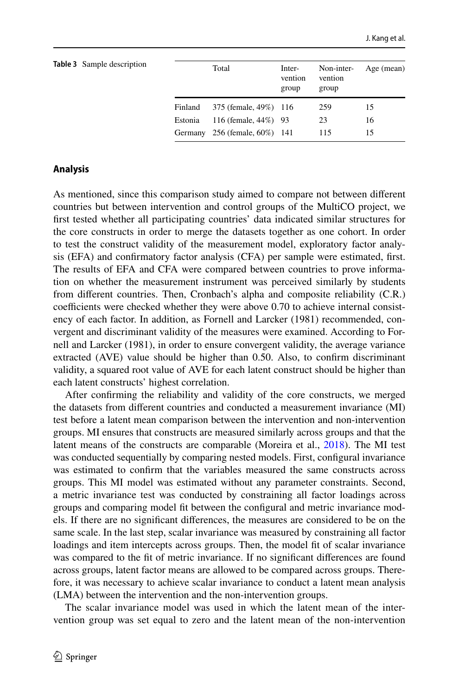<span id="page-9-0"></span>

| <b>Table 3</b> Sample description |         | Total                         | Inter-<br>vention<br>group | Non-inter-<br>vention<br>group | Age (mean) |
|-----------------------------------|---------|-------------------------------|----------------------------|--------------------------------|------------|
|                                   | Finland | 375 (female, 49%) 116         |                            | 259                            | 15         |
|                                   | Estonia | 116 (female, 44%) 93          |                            | 23                             | 16         |
|                                   |         | Germany 256 (female, 60%) 141 |                            | 115                            | 15         |

### **Analysis**

As mentioned, since this comparison study aimed to compare not between diferent countries but between intervention and control groups of the MultiCO project, we frst tested whether all participating countries' data indicated similar structures for the core constructs in order to merge the datasets together as one cohort. In order to test the construct validity of the measurement model, exploratory factor analysis (EFA) and confrmatory factor analysis (CFA) per sample were estimated, frst. The results of EFA and CFA were compared between countries to prove information on whether the measurement instrument was perceived similarly by students from diferent countries. Then, Cronbach's alpha and composite reliability (C.R.) coefficients were checked whether they were above 0.70 to achieve internal consistency of each factor. In addition, as Fornell and Larcker (1981) recommended, convergent and discriminant validity of the measures were examined. According to Fornell and Larcker (1981), in order to ensure convergent validity, the average variance extracted (AVE) value should be higher than 0.50. Also, to confrm discriminant validity, a squared root value of AVE for each latent construct should be higher than each latent constructs' highest correlation.

After confrming the reliability and validity of the core constructs, we merged the datasets from diferent countries and conducted a measurement invariance (MI) test before a latent mean comparison between the intervention and non-intervention groups. MI ensures that constructs are measured similarly across groups and that the latent means of the constructs are comparable (Moreira et al., [2018](#page-19-19)). The MI test was conducted sequentially by comparing nested models. First, confgural invariance was estimated to confrm that the variables measured the same constructs across groups. This MI model was estimated without any parameter constraints. Second, a metric invariance test was conducted by constraining all factor loadings across groups and comparing model ft between the confgural and metric invariance models. If there are no signifcant diferences, the measures are considered to be on the same scale. In the last step, scalar invariance was measured by constraining all factor loadings and item intercepts across groups. Then, the model fit of scalar invariance was compared to the ft of metric invariance. If no signifcant diferences are found across groups, latent factor means are allowed to be compared across groups. Therefore, it was necessary to achieve scalar invariance to conduct a latent mean analysis (LMA) between the intervention and the non-intervention groups.

The scalar invariance model was used in which the latent mean of the intervention group was set equal to zero and the latent mean of the non-intervention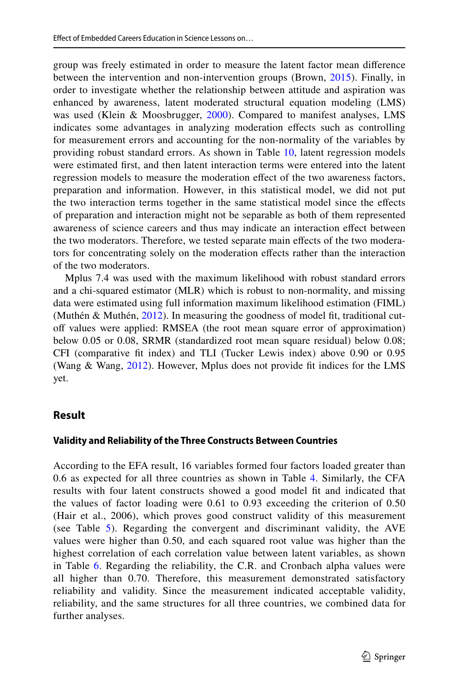group was freely estimated in order to measure the latent factor mean diference between the intervention and non-intervention groups (Brown, [2015](#page-18-7)). Finally, in order to investigate whether the relationship between attitude and aspiration was enhanced by awareness, latent moderated structural equation modeling (LMS) was used (Klein & Moosbrugger, [2000](#page-19-20)). Compared to manifest analyses, LMS indicates some advantages in analyzing moderation efects such as controlling for measurement errors and accounting for the non-normality of the variables by providing robust standard errors. As shown in Table [10,](#page-13-0) latent regression models were estimated frst, and then latent interaction terms were entered into the latent regression models to measure the moderation efect of the two awareness factors, preparation and information. However, in this statistical model, we did not put the two interaction terms together in the same statistical model since the efects of preparation and interaction might not be separable as both of them represented awareness of science careers and thus may indicate an interaction efect between the two moderators. Therefore, we tested separate main efects of the two moderators for concentrating solely on the moderation efects rather than the interaction of the two moderators.

Mplus 7.4 was used with the maximum likelihood with robust standard errors and a chi-squared estimator (MLR) which is robust to non-normality, and missing data were estimated using full information maximum likelihood estimation (FIML) (Muthén & Muthén, [2012\)](#page-19-21). In measuring the goodness of model ft, traditional cutof values were applied: RMSEA (the root mean square error of approximation) below 0.05 or 0.08, SRMR (standardized root mean square residual) below 0.08; CFI (comparative ft index) and TLI (Tucker Lewis index) above 0.90 or 0.95 (Wang & Wang, [2012\)](#page-20-19). However, Mplus does not provide ft indices for the LMS yet.

### **Result**

### **Validity and Reliability of the Three Constructs Between Countries**

According to the EFA result, 16 variables formed four factors loaded greater than 0.6 as expected for all three countries as shown in Table [4](#page-11-0). Similarly, the CFA results with four latent constructs showed a good model ft and indicated that the values of factor loading were 0.61 to 0.93 exceeding the criterion of 0.50 (Hair et al., 2006), which proves good construct validity of this measurement (see Table [5](#page-11-1)). Regarding the convergent and discriminant validity, the AVE values were higher than 0.50, and each squared root value was higher than the highest correlation of each correlation value between latent variables, as shown in Table [6.](#page-12-0) Regarding the reliability, the C.R. and Cronbach alpha values were all higher than 0.70. Therefore, this measurement demonstrated satisfactory reliability and validity. Since the measurement indicated acceptable validity, reliability, and the same structures for all three countries, we combined data for further analyses.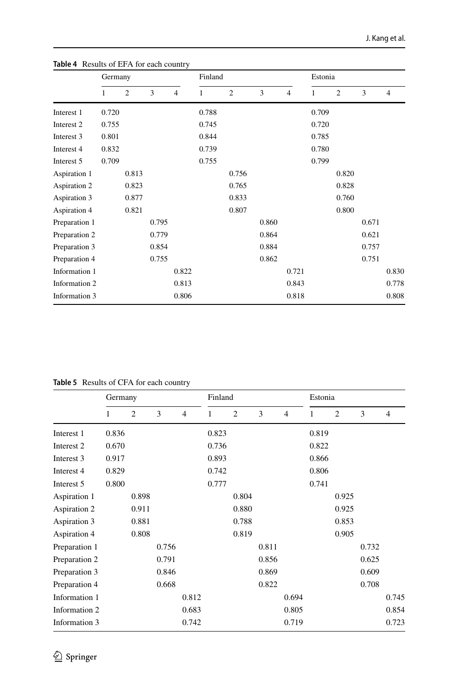|               | Germany |                |       |                | Finland |                |       | Estonia        |       |                |       |                |
|---------------|---------|----------------|-------|----------------|---------|----------------|-------|----------------|-------|----------------|-------|----------------|
|               | 1       | $\overline{2}$ | 3     | $\overline{4}$ | 1       | $\overline{2}$ | 3     | $\overline{4}$ | 1     | $\overline{2}$ | 3     | $\overline{4}$ |
| Interest 1    | 0.720   |                |       |                | 0.788   |                |       |                | 0.709 |                |       |                |
| Interest 2    | 0.755   |                |       |                | 0.745   |                |       |                | 0.720 |                |       |                |
| Interest 3    | 0.801   |                |       |                | 0.844   |                |       |                | 0.785 |                |       |                |
| Interest 4    | 0.832   |                |       |                | 0.739   |                |       |                | 0.780 |                |       |                |
| Interest 5    | 0.709   |                |       |                | 0.755   |                |       |                | 0.799 |                |       |                |
| Aspiration 1  |         | 0.813          |       |                |         | 0.756          |       |                |       | 0.820          |       |                |
| Aspiration 2  |         | 0.823          |       |                |         | 0.765          |       |                |       | 0.828          |       |                |
| Aspiration 3  |         | 0.877          |       |                |         | 0.833          |       |                |       | 0.760          |       |                |
| Aspiration 4  |         | 0.821          |       |                |         | 0.807          |       |                |       | 0.800          |       |                |
| Preparation 1 |         |                | 0.795 |                |         |                | 0.860 |                |       |                | 0.671 |                |
| Preparation 2 |         |                | 0.779 |                |         |                | 0.864 |                |       |                | 0.621 |                |
| Preparation 3 |         |                | 0.854 |                |         |                | 0.884 |                |       |                | 0.757 |                |
| Preparation 4 |         |                | 0.755 |                |         |                | 0.862 |                |       |                | 0.751 |                |
| Information 1 |         |                |       | 0.822          |         |                |       | 0.721          |       |                |       | 0.830          |
| Information 2 |         |                |       | 0.813          |         |                |       | 0.843          |       |                |       | 0.778          |
| Information 3 |         |                |       | 0.806          |         |                |       | 0.818          |       |                |       | 0.808          |

<span id="page-11-0"></span>**Table 4** Results of EFA for each country

<span id="page-11-1"></span>**Table 5** Results of CFA for each country

|               | Germany |                |       |                | Finland |                |       | Estonia        |       |                |       |                |
|---------------|---------|----------------|-------|----------------|---------|----------------|-------|----------------|-------|----------------|-------|----------------|
|               | 1       | $\overline{2}$ | 3     | $\overline{4}$ | 1       | $\overline{2}$ | 3     | $\overline{4}$ | 1     | $\overline{2}$ | 3     | $\overline{4}$ |
| Interest 1    | 0.836   |                |       |                | 0.823   |                |       |                | 0.819 |                |       |                |
| Interest 2    | 0.670   |                |       |                | 0.736   |                |       |                | 0.822 |                |       |                |
| Interest 3    | 0.917   |                |       |                | 0.893   |                |       |                | 0.866 |                |       |                |
| Interest 4    | 0.829   |                |       |                | 0.742   |                |       |                | 0.806 |                |       |                |
| Interest 5    | 0.800   |                |       |                | 0.777   |                |       |                | 0.741 |                |       |                |
| Aspiration 1  |         | 0.898          |       |                |         | 0.804          |       |                |       | 0.925          |       |                |
| Aspiration 2  |         | 0.911          |       |                |         | 0.880          |       |                |       | 0.925          |       |                |
| Aspiration 3  |         | 0.881          |       |                |         | 0.788          |       |                |       | 0.853          |       |                |
| Aspiration 4  |         | 0.808          |       |                |         | 0.819          |       |                |       | 0.905          |       |                |
| Preparation 1 |         |                | 0.756 |                |         |                | 0.811 |                |       |                | 0.732 |                |
| Preparation 2 |         |                | 0.791 |                |         |                | 0.856 |                |       |                | 0.625 |                |
| Preparation 3 |         |                | 0.846 |                |         |                | 0.869 |                |       |                | 0.609 |                |
| Preparation 4 |         |                | 0.668 |                |         |                | 0.822 |                |       |                | 0.708 |                |
| Information 1 |         |                |       | 0.812          |         |                |       | 0.694          |       |                |       | 0.745          |
| Information 2 |         |                |       | 0.683          |         |                |       | 0.805          |       |                |       | 0.854          |
| Information 3 |         |                |       | 0.742          |         |                |       | 0.719          |       |                |       | 0.723          |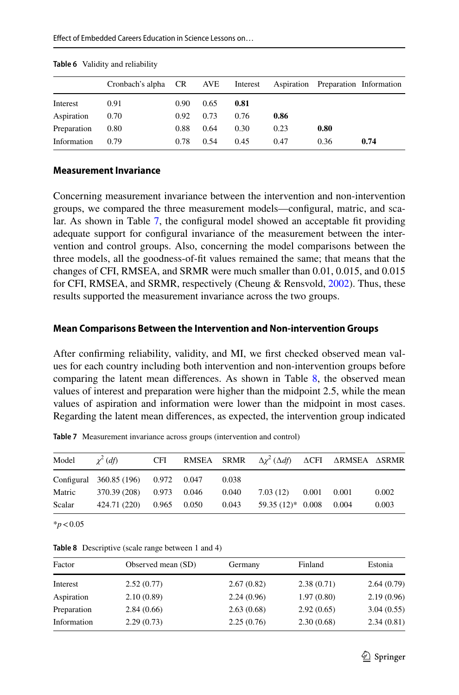|             | Cronbach's alpha CR AVE Interest Aspiration Preparation Information |      |      |      |      |      |      |
|-------------|---------------------------------------------------------------------|------|------|------|------|------|------|
| Interest    | 0.91                                                                | 0.90 | 0.65 | 0.81 |      |      |      |
| Aspiration  | 0.70                                                                | 0.92 | 0.73 | 0.76 | 0.86 |      |      |
| Preparation | 0.80                                                                | 0.88 | 0.64 | 0.30 | 0.23 | 0.80 |      |
| Information | 0.79                                                                | 0.78 | 0.54 | 0.45 | 0.47 | 0.36 | 0.74 |

<span id="page-12-0"></span>**Table 6** Validity and reliability

#### **Measurement Invariance**

Concerning measurement invariance between the intervention and non-intervention groups, we compared the three measurement models—confgural, matric, and scalar. As shown in Table [7](#page-12-1), the confgural model showed an acceptable ft providing adequate support for confgural invariance of the measurement between the intervention and control groups. Also, concerning the model comparisons between the three models, all the goodness-of-ft values remained the same; that means that the changes of CFI, RMSEA, and SRMR were much smaller than 0.01, 0.015, and 0.015 for CFI, RMSEA, and SRMR, respectively (Cheung & Rensvold, [2002](#page-18-8)). Thus, these results supported the measurement invariance across the two groups.

#### **Mean Comparisons Between the Intervention and Non‑intervention Groups**

After confrming reliability, validity, and MI, we frst checked observed mean values for each country including both intervention and non-intervention groups before comparing the latent mean differences. As shown in Table  $8$ , the observed mean values of interest and preparation were higher than the midpoint 2.5, while the mean values of aspiration and information were lower than the midpoint in most cases. Regarding the latent mean diferences, as expected, the intervention group indicated

| Model  | $\chi^2$ (df)                       | CFI |             |       | RMSEA SRMR $\Delta \chi^2 (\Delta df)$ ACFI ARMSEA ASRMR |  |       |
|--------|-------------------------------------|-----|-------------|-------|----------------------------------------------------------|--|-------|
|        | Configural 360.85 (196) 0.972 0.047 |     |             | 0.038 |                                                          |  |       |
| Matric | 370.39 (208) 0.973 0.046            |     |             | 0.040 | $7.03(12)$ $0.001$ $0.001$                               |  | 0.002 |
| Scalar | 424.71 (220)                        |     | 0.965 0.050 | 0.043 | $59.35(12)^*$ 0.008 0.004                                |  | 0.003 |
|        |                                     |     |             |       |                                                          |  |       |

<span id="page-12-1"></span>**Table 7** Measurement invariance across groups (intervention and control)

\**p*<0.05

| Factor      | Observed mean (SD) | Germany    | Finland    | Estonia    |
|-------------|--------------------|------------|------------|------------|
| Interest    | 2.52(0.77)         | 2.67(0.82) | 2.38(0.71) | 2.64(0.79) |
| Aspiration  | 2.10(0.89)         | 2.24(0.96) | 1.97(0.80) | 2.19(0.96) |
| Preparation | 2.84(0.66)         | 2.63(0.68) | 2.92(0.65) | 3.04(0.55) |
| Information | 2.29(0.73)         | 2.25(0.76) | 2.30(0.68) | 2.34(0.81) |
|             |                    |            |            |            |

<span id="page-12-2"></span>**Table 8** Descriptive (scale range between 1 and 4)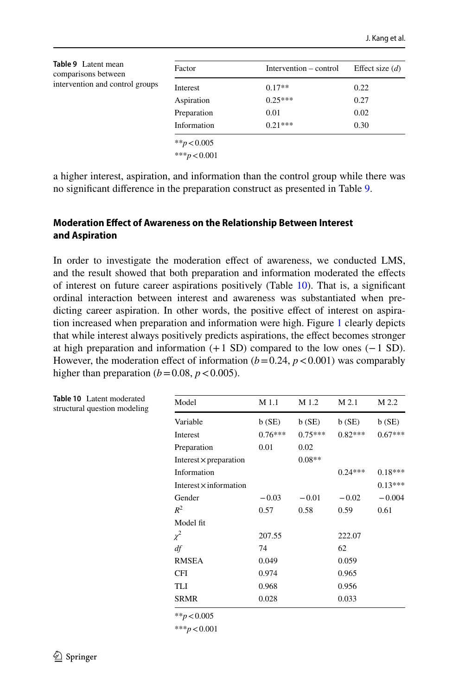<span id="page-13-1"></span>

| Table 9 Latent mean<br>comparisons between | Factor          | Intervention – control | Effect size $(d)$ |
|--------------------------------------------|-----------------|------------------------|-------------------|
| intervention and control groups            | Interest        | $0.17**$               | 0.22              |
|                                            | Aspiration      | $0.25***$              | 0.27              |
|                                            | Preparation     | 0.01                   | 0.02              |
|                                            | Information     | $0.21***$              | 0.30              |
|                                            | ** $p < 0.005$  |                        |                   |
|                                            | *** $p < 0.001$ |                        |                   |

a higher interest, aspiration, and information than the control group while there was no signifcant diference in the preparation construct as presented in Table [9](#page-13-1).

### **Moderation Efect of Awareness on the Relationship Between Interest and Aspiration**

In order to investigate the moderation effect of awareness, we conducted LMS, and the result showed that both preparation and information moderated the efects of interest on future career aspirations positively (Table [10](#page-13-0)). That is, a signifcant ordinal interaction between interest and awareness was substantiated when predicting career aspiration. In other words, the positive effect of interest on aspiration increased when preparation and information were high. Figure [1](#page-14-0) clearly depicts that while interest always positively predicts aspirations, the efect becomes stronger at high preparation and information  $(+1 S D)$  compared to the low ones  $(-1 S D)$ . However, the moderation effect of information  $(b=0.24, p<0.001)$  was comparably higher than preparation  $(b=0.08, p<0.005)$ .

| Model                         | M 1.1     | M 1.2     | M 2.1     | M 2.2     |
|-------------------------------|-----------|-----------|-----------|-----------|
| Variable                      | b(SE)     | b(SE)     | b(SE)     | b(SE)     |
| Interest                      | $0.76***$ | $0.75***$ | $0.82***$ | $0.67***$ |
| Preparation                   | 0.01      | 0.02      |           |           |
| Interest $\times$ preparation |           | $0.08**$  |           |           |
| Information                   |           |           | $0.24***$ | $0.18***$ |
| Interest $\times$ information |           |           |           | $0.13***$ |
| Gender                        | $-0.03$   | $-0.01$   | $-0.02$   | $-0.004$  |
| $R^2$                         | 0.57      | 0.58      | 0.59      | 0.61      |
| Model fit                     |           |           |           |           |
| $\chi^2$                      | 207.55    |           | 222.07    |           |
| df                            | 74        |           | 62        |           |
| <b>RMSEA</b>                  | 0.049     |           | 0.059     |           |
| <b>CFI</b>                    | 0.974     |           | 0.965     |           |
| TLI                           | 0.968     |           | 0.956     |           |
| <b>SRMR</b>                   | 0.028     |           | 0.033     |           |

\*\**p*<0.005

\*\*\**p*<0.001

<span id="page-13-0"></span>**Table 10** Latent moderated structural question modeling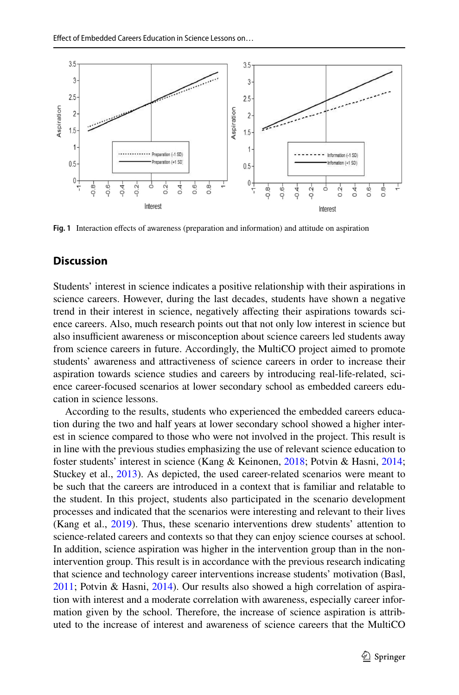

<span id="page-14-0"></span>**Fig. 1** Interaction efects of awareness (preparation and information) and attitude on aspiration

# **Discussion**

Students' interest in science indicates a positive relationship with their aspirations in science careers. However, during the last decades, students have shown a negative trend in their interest in science, negatively afecting their aspirations towards science careers. Also, much research points out that not only low interest in science but also insufficient awareness or misconception about science careers led students away from science careers in future. Accordingly, the MultiCO project aimed to promote students' awareness and attractiveness of science careers in order to increase their aspiration towards science studies and careers by introducing real-life-related, science career-focused scenarios at lower secondary school as embedded careers education in science lessons.

According to the results, students who experienced the embedded careers education during the two and half years at lower secondary school showed a higher interest in science compared to those who were not involved in the project. This result is in line with the previous studies emphasizing the use of relevant science education to foster students' interest in science (Kang & Keinonen, [2018](#page-19-0); Potvin & Hasni, [2014;](#page-20-0) Stuckey et al., [2013\)](#page-20-1). As depicted, the used career-related scenarios were meant to be such that the careers are introduced in a context that is familiar and relatable to the student. In this project, students also participated in the scenario development processes and indicated that the scenarios were interesting and relevant to their lives (Kang et al., [2019](#page-19-1)). Thus, these scenario interventions drew students' attention to science-related careers and contexts so that they can enjoy science courses at school. In addition, science aspiration was higher in the intervention group than in the nonintervention group. This result is in accordance with the previous research indicating that science and technology career interventions increase students' motivation (Basl, [2011](#page-18-6); Potvin & Hasni, [2014\)](#page-20-0). Our results also showed a high correlation of aspiration with interest and a moderate correlation with awareness, especially career information given by the school. Therefore, the increase of science aspiration is attributed to the increase of interest and awareness of science careers that the MultiCO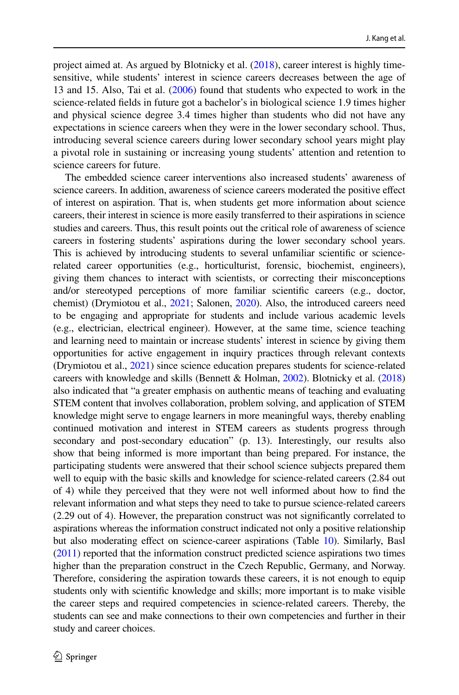project aimed at. As argued by Blotnicky et al. ([2018\)](#page-18-3), career interest is highly timesensitive, while students' interest in science careers decreases between the age of 13 and 15. Also, Tai et al. ([2006\)](#page-20-4) found that students who expected to work in the science-related felds in future got a bachelor's in biological science 1.9 times higher and physical science degree 3.4 times higher than students who did not have any expectations in science careers when they were in the lower secondary school. Thus, introducing several science careers during lower secondary school years might play a pivotal role in sustaining or increasing young students' attention and retention to science careers for future.

The embedded science career interventions also increased students' awareness of science careers. In addition, awareness of science careers moderated the positive efect of interest on aspiration. That is, when students get more information about science careers, their interest in science is more easily transferred to their aspirations in science studies and careers. Thus, this result points out the critical role of awareness of science careers in fostering students' aspirations during the lower secondary school years. This is achieved by introducing students to several unfamiliar scientifc or sciencerelated career opportunities (e.g., horticulturist, forensic, biochemist, engineers), giving them chances to interact with scientists, or correcting their misconceptions and/or stereotyped perceptions of more familiar scientifc careers (e.g., doctor, chemist) (Drymiotou et al., [2021](#page-19-15); Salonen, [2020](#page-20-20)). Also, the introduced careers need to be engaging and appropriate for students and include various academic levels (e.g., electrician, electrical engineer). However, at the same time, science teaching and learning need to maintain or increase students' interest in science by giving them opportunities for active engagement in inquiry practices through relevant contexts (Drymiotou et al., [2021](#page-19-15)) since science education prepares students for science-related careers with knowledge and skills (Bennett & Holman, [2002\)](#page-18-9). Blotnicky et al. [\(2018\)](#page-18-3) also indicated that "a greater emphasis on authentic means of teaching and evaluating STEM content that involves collaboration, problem solving, and application of STEM knowledge might serve to engage learners in more meaningful ways, thereby enabling continued motivation and interest in STEM careers as students progress through secondary and post-secondary education" (p. 13). Interestingly, our results also show that being informed is more important than being prepared. For instance, the participating students were answered that their school science subjects prepared them well to equip with the basic skills and knowledge for science-related careers (2.84 out of 4) while they perceived that they were not well informed about how to fnd the relevant information and what steps they need to take to pursue science-related careers (2.29 out of 4). However, the preparation construct was not signifcantly correlated to aspirations whereas the information construct indicated not only a positive relationship but also moderating efect on science-career aspirations (Table [10](#page-13-0)). Similarly, Basl [\(2011\)](#page-18-6) reported that the information construct predicted science aspirations two times higher than the preparation construct in the Czech Republic, Germany, and Norway. Therefore, considering the aspiration towards these careers, it is not enough to equip students only with scientifc knowledge and skills; more important is to make visible the career steps and required competencies in science-related careers. Thereby, the students can see and make connections to their own competencies and further in their study and career choices.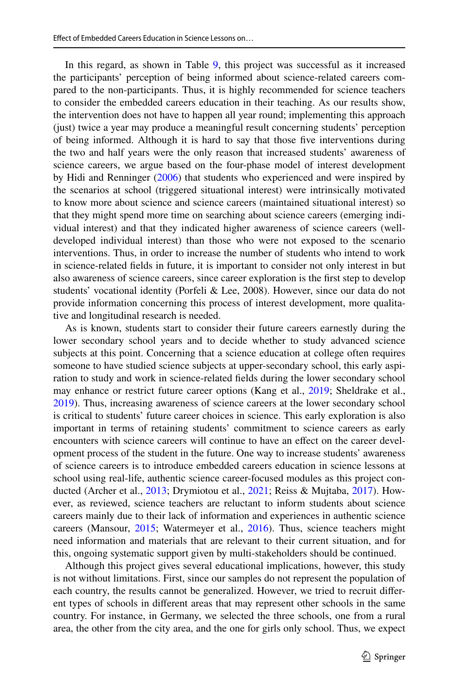In this regard, as shown in Table [9](#page-13-1), this project was successful as it increased the participants' perception of being informed about science-related careers compared to the non-participants. Thus, it is highly recommended for science teachers to consider the embedded careers education in their teaching. As our results show, the intervention does not have to happen all year round; implementing this approach (just) twice a year may produce a meaningful result concerning students' perception of being informed. Although it is hard to say that those fve interventions during the two and half years were the only reason that increased students' awareness of science careers, we argue based on the four-phase model of interest development by Hidi and Renninger ([2006\)](#page-19-6) that students who experienced and were inspired by the scenarios at school (triggered situational interest) were intrinsically motivated to know more about science and science careers (maintained situational interest) so that they might spend more time on searching about science careers (emerging individual interest) and that they indicated higher awareness of science careers (welldeveloped individual interest) than those who were not exposed to the scenario interventions. Thus, in order to increase the number of students who intend to work in science-related felds in future, it is important to consider not only interest in but also awareness of science careers, since career exploration is the frst step to develop students' vocational identity (Porfeli & Lee, 2008). However, since our data do not provide information concerning this process of interest development, more qualitative and longitudinal research is needed.

As is known, students start to consider their future careers earnestly during the lower secondary school years and to decide whether to study advanced science subjects at this point. Concerning that a science education at college often requires someone to have studied science subjects at upper-secondary school, this early aspiration to study and work in science-related felds during the lower secondary school may enhance or restrict future career options (Kang et al., [2019](#page-19-1); Sheldrake et al., [2019](#page-20-21)). Thus, increasing awareness of science careers at the lower secondary school is critical to students' future career choices in science. This early exploration is also important in terms of retaining students' commitment to science careers as early encounters with science careers will continue to have an efect on the career development process of the student in the future. One way to increase students' awareness of science careers is to introduce embedded careers education in science lessons at school using real-life, authentic science career-focused modules as this project con-ducted (Archer et al., [2013;](#page-18-2) Drymiotou et al., [2021;](#page-19-15) Reiss & Mujtaba, [2017](#page-20-7)). However, as reviewed, science teachers are reluctant to inform students about science careers mainly due to their lack of information and experiences in authentic science careers (Mansour, [2015](#page-19-14); Watermeyer et al., [2016](#page-20-17)). Thus, science teachers might need information and materials that are relevant to their current situation, and for this, ongoing systematic support given by multi-stakeholders should be continued.

Although this project gives several educational implications, however, this study is not without limitations. First, since our samples do not represent the population of each country, the results cannot be generalized. However, we tried to recruit diferent types of schools in diferent areas that may represent other schools in the same country. For instance, in Germany, we selected the three schools, one from a rural area, the other from the city area, and the one for girls only school. Thus, we expect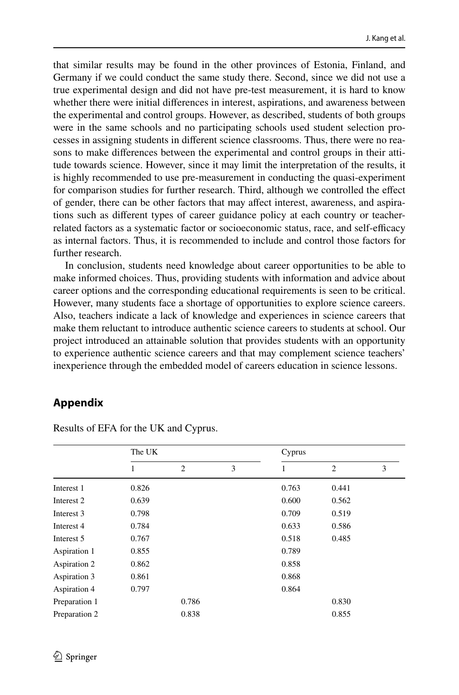that similar results may be found in the other provinces of Estonia, Finland, and Germany if we could conduct the same study there. Second, since we did not use a true experimental design and did not have pre-test measurement, it is hard to know whether there were initial diferences in interest, aspirations, and awareness between the experimental and control groups. However, as described, students of both groups were in the same schools and no participating schools used student selection processes in assigning students in diferent science classrooms. Thus, there were no reasons to make diferences between the experimental and control groups in their attitude towards science. However, since it may limit the interpretation of the results, it is highly recommended to use pre-measurement in conducting the quasi-experiment for comparison studies for further research. Third, although we controlled the efect of gender, there can be other factors that may afect interest, awareness, and aspirations such as diferent types of career guidance policy at each country or teacherrelated factors as a systematic factor or socioeconomic status, race, and self-efficacy as internal factors. Thus, it is recommended to include and control those factors for further research.

In conclusion, students need knowledge about career opportunities to be able to make informed choices. Thus, providing students with information and advice about career options and the corresponding educational requirements is seen to be critical. However, many students face a shortage of opportunities to explore science careers. Also, teachers indicate a lack of knowledge and experiences in science careers that make them reluctant to introduce authentic science careers to students at school. Our project introduced an attainable solution that provides students with an opportunity to experience authentic science careers and that may complement science teachers' inexperience through the embedded model of careers education in science lessons.

# <span id="page-17-0"></span>**Appendix**

|               | The UK |                |   | Cyprus |                |   |  |  |
|---------------|--------|----------------|---|--------|----------------|---|--|--|
|               | 1      | $\overline{c}$ | 3 | 1      | $\overline{2}$ | 3 |  |  |
| Interest 1    | 0.826  |                |   | 0.763  | 0.441          |   |  |  |
| Interest 2    | 0.639  |                |   | 0.600  | 0.562          |   |  |  |
| Interest 3    | 0.798  |                |   | 0.709  | 0.519          |   |  |  |
| Interest 4    | 0.784  |                |   | 0.633  | 0.586          |   |  |  |
| Interest 5    | 0.767  |                |   | 0.518  | 0.485          |   |  |  |
| Aspiration 1  | 0.855  |                |   | 0.789  |                |   |  |  |
| Aspiration 2  | 0.862  |                |   | 0.858  |                |   |  |  |
| Aspiration 3  | 0.861  |                |   | 0.868  |                |   |  |  |
| Aspiration 4  | 0.797  |                |   | 0.864  |                |   |  |  |
| Preparation 1 |        | 0.786          |   |        | 0.830          |   |  |  |
| Preparation 2 |        | 0.838          |   |        | 0.855          |   |  |  |

Results of EFA for the UK and Cyprus.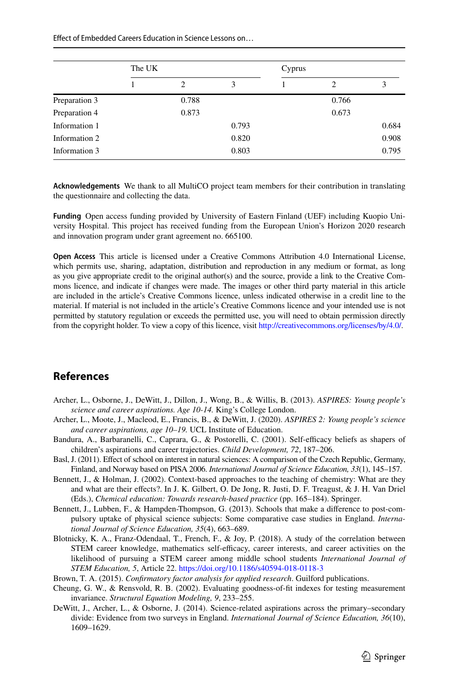Efect of Embedded Careers Education in Science Lessons on…

|               | The UK |       |       | Cyprus |       |       |
|---------------|--------|-------|-------|--------|-------|-------|
|               |        | 2     | 3     |        | 2     | 3     |
| Preparation 3 |        | 0.788 |       |        | 0.766 |       |
| Preparation 4 |        | 0.873 |       |        | 0.673 |       |
| Information 1 |        |       | 0.793 |        |       | 0.684 |
| Information 2 |        |       | 0.820 |        |       | 0.908 |
| Information 3 |        |       | 0.803 |        |       | 0.795 |

**Acknowledgements** We thank to all MultiCO project team members for their contribution in translating the questionnaire and collecting the data.

**Funding** Open access funding provided by University of Eastern Finland (UEF) including Kuopio University Hospital. This project has received funding from the European Union's Horizon 2020 research and innovation program under grant agreement no. 665100.

**Open Access** This article is licensed under a Creative Commons Attribution 4.0 International License, which permits use, sharing, adaptation, distribution and reproduction in any medium or format, as long as you give appropriate credit to the original author(s) and the source, provide a link to the Creative Commons licence, and indicate if changes were made. The images or other third party material in this article are included in the article's Creative Commons licence, unless indicated otherwise in a credit line to the material. If material is not included in the article's Creative Commons licence and your intended use is not permitted by statutory regulation or exceeds the permitted use, you will need to obtain permission directly from the copyright holder. To view a copy of this licence, visit <http://creativecommons.org/licenses/by/4.0/>.

# **References**

- <span id="page-18-2"></span>Archer, L., Osborne, J., DeWitt, J., Dillon, J., Wong, B., & Willis, B. (2013). *ASPIRES: Young people's science and career aspirations. Age 10-14.* King's College London.
- <span id="page-18-1"></span>Archer, L., Moote, J., Macleod, E., Francis, B., & DeWitt, J. (2020). *ASPIRES 2: Young people's science and career aspirations, age 10–19.* UCL Institute of Education.
- <span id="page-18-5"></span>Bandura, A., Barbaranelli, C., Caprara, G., & Postorelli, C. (2001). Self-efficacy beliefs as shapers of children's aspirations and career trajectories. *Child Development, 72*, 187–206.
- <span id="page-18-6"></span>Basl, J. (2011). Efect of school on interest in natural sciences: A comparison of the Czech Republic, Germany, Finland, and Norway based on PISA 2006. *International Journal of Science Education, 33*(1), 145–157.
- <span id="page-18-9"></span>Bennett, J., & Holman, J. (2002). Context-based approaches to the teaching of chemistry: What are they and what are their efects?. In J. K. Gilbert, O. De Jong, R. Justi, D. F. Treagust, & J. H. Van Driel (Eds.), *Chemical education: Towards research-based practice* (pp. 165–184). Springer.
- <span id="page-18-4"></span>Bennett, J., Lubben, F., & Hampden-Thompson, G. (2013). Schools that make a diference to post-compulsory uptake of physical science subjects: Some comparative case studies in England. *International Journal of Science Education, 35*(4), 663–689.
- <span id="page-18-3"></span>Blotnicky, K. A., Franz-Odendaal, T., French, F., & Joy, P. (2018). A study of the correlation between STEM career knowledge, mathematics self-efficacy, career interests, and career activities on the likelihood of pursuing a STEM career among middle school students *International Journal of STEM Education, 5*, Article 22.<https://doi.org/10.1186/s40594-018-0118-3>
- <span id="page-18-7"></span>Brown, T. A. (2015). *Confrmatory factor analysis for applied research*. Guilford publications.
- <span id="page-18-8"></span>Cheung, G. W., & Rensvold, R. B. (2002). Evaluating goodness-of-ft indexes for testing measurement invariance. *Structural Equation Modeling, 9*, 233–255.
- <span id="page-18-0"></span>DeWitt, J., Archer, L., & Osborne, J. (2014). Science-related aspirations across the primary–secondary divide: Evidence from two surveys in England. *International Journal of Science Education, 36*(10), 1609–1629.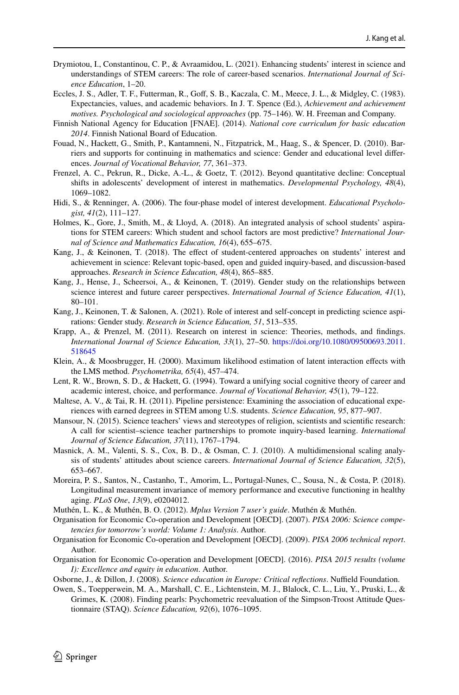- <span id="page-19-15"></span>Drymiotou, I., Constantinou, C. P., & Avraamidou, L. (2021). Enhancing students' interest in science and understandings of STEM careers: The role of career-based scenarios. *International Journal of Science Education*, 1–20.
- <span id="page-19-5"></span>Eccles, J. S., Adler, T. F., Futterman, R., Goff, S. B., Kaczala, C. M., Meece, J. L., & Midgley, C. (1983). Expectancies, values, and academic behaviors. In J. T. Spence (Ed.), *Achievement and achievement motives. Psychological and sociological approaches* (pp. 75–146). W. H. Freeman and Company.
- <span id="page-19-13"></span>Finnish National Agency for Education [FNAE]. (2014). *National core curriculum for basic education 2014*. Finnish National Board of Education.
- <span id="page-19-9"></span>Fouad, N., Hackett, G., Smith, P., Kantamneni, N., Fitzpatrick, M., Haag, S., & Spencer, D. (2010). Barriers and supports for continuing in mathematics and science: Gender and educational level diferences. *Journal of Vocational Behavior, 77*, 361–373.
- <span id="page-19-16"></span>Frenzel, A. C., Pekrun, R., Dicke, A.-L., & Goetz, T. (2012). Beyond quantitative decline: Conceptual shifts in adolescents' development of interest in mathematics. *Developmental Psychology, 48*(4), 1069–1082.
- <span id="page-19-6"></span>Hidi, S., & Renninger, A. (2006). The four-phase model of interest development. *Educational Psychologist, 41*(2), 111–127.
- <span id="page-19-12"></span>Holmes, K., Gore, J., Smith, M., & Lloyd, A. (2018). An integrated analysis of school students' aspirations for STEM careers: Which student and school factors are most predictive? *International Journal of Science and Mathematics Education, 16*(4), 655–675.
- <span id="page-19-0"></span>Kang, J., & Keinonen, T. (2018). The efect of student-centered approaches on students' interest and achievement in science: Relevant topic-based, open and guided inquiry-based, and discussion-based approaches. *Research in Science Education, 48*(4), 865–885.
- <span id="page-19-1"></span>Kang, J., Hense, J., Scheersoi, A., & Keinonen, T. (2019). Gender study on the relationships between science interest and future career perspectives. *International Journal of Science Education, 41*(1), 80–101.
- <span id="page-19-10"></span>Kang, J., Keinonen, T. & Salonen, A. (2021). Role of interest and self-concept in predicting science aspirations: Gender study. *Research in Science Education, 51*, 513–535.
- <span id="page-19-7"></span>Krapp, A., & Prenzel, M. (2011). Research on interest in science: Theories, methods, and fndings. *International Journal of Science Education, 33*(1), 27–50. [https://doi.org/10.1080/09500693.2011.](https://doi.org/10.1080/09500693.2011.518645) [518645](https://doi.org/10.1080/09500693.2011.518645)
- <span id="page-19-20"></span>Klein, A., & Moosbrugger, H. (2000). Maximum likelihood estimation of latent interaction efects with the LMS method. *Psychometrika, 65*(4), 457–474.
- <span id="page-19-8"></span>Lent, R. W., Brown, S. D., & Hackett, G. (1994). Toward a unifying social cognitive theory of career and academic interest, choice, and performance. *Journal of Vocational Behavior, 45*(1), 79–122.
- <span id="page-19-3"></span>Maltese, A. V., & Tai, R. H. (2011). Pipeline persistence: Examining the association of educational experiences with earned degrees in STEM among U.S. students. *Science Education, 95*, 877–907.
- <span id="page-19-14"></span>Mansour, N. (2015). Science teachers' views and stereotypes of religion, scientists and scientific research: A call for scientist–science teacher partnerships to promote inquiry-based learning. *International Journal of Science Education, 37*(11), 1767–1794.
- <span id="page-19-4"></span>Masnick, A. M., Valenti, S. S., Cox, B. D., & Osman, C. J. (2010). A multidimensional scaling analysis of students' attitudes about science careers. *International Journal of Science Education, 32*(5), 653–667.
- <span id="page-19-19"></span>Moreira, P. S., Santos, N., Castanho, T., Amorim, L., Portugal-Nunes, C., Sousa, N., & Costa, P. (2018). Longitudinal measurement invariance of memory performance and executive functioning in healthy aging. *PLoS One*, *13*(9), e0204012.
- <span id="page-19-21"></span>Muthén, L. K., & Muthén, B. O. (2012). *Mplus Version 7 user's guide*. Muthén & Muthén.
- Organisation for Economic Co-operation and Development [OECD]. (2007). *PISA 2006: Science competencies for tomorrow's world: Volume 1: Analysis*. Author.
- <span id="page-19-18"></span>Organisation for Economic Co-operation and Development [OECD]. (2009). *PISA 2006 technical report*. Author.
- <span id="page-19-2"></span>Organisation for Economic Co-operation and Development [OECD]. (2016). *PISA 2015 results (volume I): Excellence and equity in education*. Author.
- <span id="page-19-11"></span>Osborne, J., & Dillon, J. (2008). *Science education in Europe: Critical reflections*. Nuffield Foundation.
- <span id="page-19-17"></span>Owen, S., Toepperwein, M. A., Marshall, C. E., Lichtenstein, M. J., Blalock, C. L., Liu, Y., Pruski, L., & Grimes, K. (2008). Finding pearls: Psychometric reevaluation of the Simpson-Troost Attitude Questionnaire (STAQ). *Science Education, 92*(6), 1076–1095.